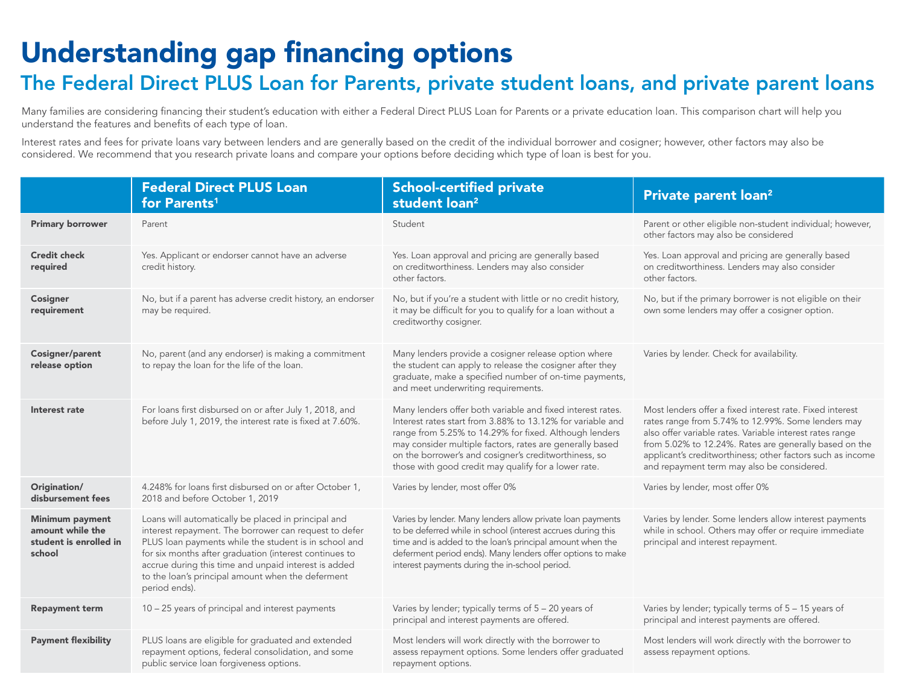## Understanding gap financing options

## The Federal Direct PLUS Loan for Parents, private student loans, and private parent loans

Many families are considering financing their student's education with either a Federal Direct PLUS Loan for Parents or a private education loan. This comparison chart will help you understand the features and benefits of each type of loan.

Interest rates and fees for private loans vary between lenders and are generally based on the credit of the individual borrower and cosigner; however, other factors may also be considered. We recommend that you research private loans and compare your options before deciding which type of loan is best for you.

|                                                                                | <b>Federal Direct PLUS Loan</b><br>for Parents <sup>1</sup>                                                                                                                                                                                                                                                                                                   | <b>School-certified private</b><br>student loan <sup>2</sup>                                                                                                                                                                                                                                                                                                    | Private parent loan <sup>2</sup>                                                                                                                                                                                                                                                                                                                 |
|--------------------------------------------------------------------------------|---------------------------------------------------------------------------------------------------------------------------------------------------------------------------------------------------------------------------------------------------------------------------------------------------------------------------------------------------------------|-----------------------------------------------------------------------------------------------------------------------------------------------------------------------------------------------------------------------------------------------------------------------------------------------------------------------------------------------------------------|--------------------------------------------------------------------------------------------------------------------------------------------------------------------------------------------------------------------------------------------------------------------------------------------------------------------------------------------------|
| <b>Primary borrower</b>                                                        | Parent                                                                                                                                                                                                                                                                                                                                                        | Student                                                                                                                                                                                                                                                                                                                                                         | Parent or other eligible non-student individual; however,<br>other factors may also be considered                                                                                                                                                                                                                                                |
| <b>Credit check</b><br>required                                                | Yes. Applicant or endorser cannot have an adverse<br>credit history.                                                                                                                                                                                                                                                                                          | Yes. Loan approval and pricing are generally based<br>on creditworthiness. Lenders may also consider<br>other factors.                                                                                                                                                                                                                                          | Yes. Loan approval and pricing are generally based<br>on creditworthiness. Lenders may also consider<br>other factors.                                                                                                                                                                                                                           |
| <b>Cosigner</b><br>requirement                                                 | No, but if a parent has adverse credit history, an endorser<br>may be required.                                                                                                                                                                                                                                                                               | No, but if you're a student with little or no credit history,<br>it may be difficult for you to qualify for a loan without a<br>creditworthy cosigner.                                                                                                                                                                                                          | No, but if the primary borrower is not eligible on their<br>own some lenders may offer a cosigner option.                                                                                                                                                                                                                                        |
| <b>Cosigner/parent</b><br>release option                                       | No, parent (and any endorser) is making a commitment<br>to repay the loan for the life of the loan.                                                                                                                                                                                                                                                           | Many lenders provide a cosigner release option where<br>the student can apply to release the cosigner after they<br>graduate, make a specified number of on-time payments,<br>and meet underwriting requirements.                                                                                                                                               | Varies by lender. Check for availability.                                                                                                                                                                                                                                                                                                        |
| Interest rate                                                                  | For loans first disbursed on or after July 1, 2018, and<br>before July 1, 2019, the interest rate is fixed at 7.60%.                                                                                                                                                                                                                                          | Many lenders offer both variable and fixed interest rates.<br>Interest rates start from 3.88% to 13.12% for variable and<br>range from 5.25% to 14.29% for fixed. Although lenders<br>may consider multiple factors, rates are generally based<br>on the borrower's and cosigner's creditworthiness, so<br>those with good credit may qualify for a lower rate. | Most lenders offer a fixed interest rate. Fixed interest<br>rates range from 5.74% to 12.99%. Some lenders may<br>also offer variable rates. Variable interest rates range<br>from 5.02% to 12.24%. Rates are generally based on the<br>applicant's creditworthiness; other factors such as income<br>and repayment term may also be considered. |
| Origination/<br>disbursement fees                                              | 4.248% for loans first disbursed on or after October 1,<br>2018 and before October 1, 2019                                                                                                                                                                                                                                                                    | Varies by lender, most offer 0%                                                                                                                                                                                                                                                                                                                                 | Varies by lender, most offer 0%                                                                                                                                                                                                                                                                                                                  |
| <b>Minimum payment</b><br>amount while the<br>student is enrolled in<br>school | Loans will automatically be placed in principal and<br>interest repayment. The borrower can request to defer<br>PLUS loan payments while the student is in school and<br>for six months after graduation (interest continues to<br>accrue during this time and unpaid interest is added<br>to the loan's principal amount when the deferment<br>period ends). | Varies by lender. Many lenders allow private loan payments<br>to be deferred while in school (interest accrues during this<br>time and is added to the loan's principal amount when the<br>deferment period ends). Many lenders offer options to make<br>interest payments during the in-school period.                                                         | Varies by lender. Some lenders allow interest payments<br>while in school. Others may offer or require immediate<br>principal and interest repayment.                                                                                                                                                                                            |
| <b>Repayment term</b>                                                          | 10 - 25 years of principal and interest payments                                                                                                                                                                                                                                                                                                              | Varies by lender; typically terms of 5 - 20 years of<br>principal and interest payments are offered.                                                                                                                                                                                                                                                            | Varies by lender; typically terms of 5 - 15 years of<br>principal and interest payments are offered.                                                                                                                                                                                                                                             |
| <b>Payment flexibility</b>                                                     | PLUS loans are eligible for graduated and extended<br>repayment options, federal consolidation, and some<br>public service loan forgiveness options.                                                                                                                                                                                                          | Most lenders will work directly with the borrower to<br>assess repayment options. Some lenders offer graduated<br>repayment options.                                                                                                                                                                                                                            | Most lenders will work directly with the borrower to<br>assess repayment options.                                                                                                                                                                                                                                                                |